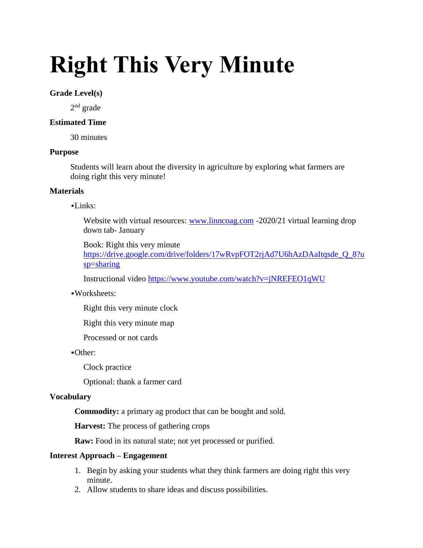# **Right This Very Minute**

## **Grade Level(s)**

2<sup>nd</sup> grade

# **Estimated Time**

30 minutes

## **Purpose**

Students will learn about the diversity in agriculture by exploring what farmers are doing right this very minute!

# **Materials**

## ▪Links:

Website with virtual resources: [www.linncoag.com](http://www.linncoag.com/) -2020/21 virtual learning drop down tab- January

## Book: Right this very minute

[https://drive.google.com/drive/folders/17wRvpFOT2rjAd7U6hAzDAaItqsde\\_Q\\_8?u](https://drive.google.com/drive/folders/17wRvpFOT2rjAd7U6hAzDAaItqsde_Q_8?usp=sharing) [sp=sharing](https://drive.google.com/drive/folders/17wRvpFOT2rjAd7U6hAzDAaItqsde_Q_8?usp=sharing)

Instructional video <https://www.youtube.com/watch?v=jNREFEO1qWU>

## ▪Worksheets:

Right this very minute clock

Right this very minute map

Processed or not cards

## ▪Other:

Clock practice

Optional: thank a farmer card

## **Vocabulary**

**Commodity:** a primary ag product that can be bought and sold.

**Harvest:** The process of gathering crops

**Raw:** Food in its natural state; not yet processed or purified.

## **Interest Approach – Engagement**

- 1. Begin by asking your students what they think farmers are doing right this very minute.
- 2. Allow students to share ideas and discuss possibilities.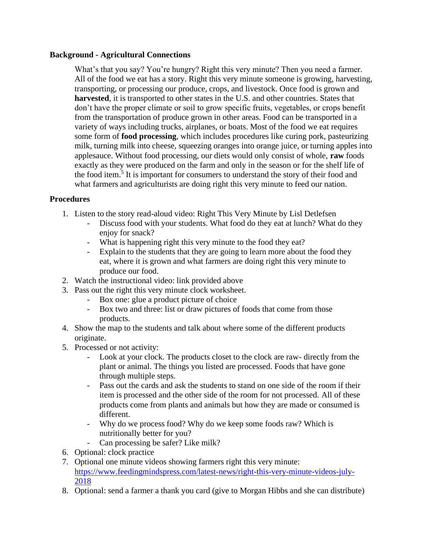## **Background - Agricultural Connections**

What's that you say? You're hungry? Right this very minute? Then you need a farmer. All of the food we eat has a story. Right this very minute someone is growing, harvesting, transporting, or processing our produce, crops, and livestock. Once food is grown and **harvested**, it is transported to other states in the U.S. and other countries. States that don't have the proper climate or soil to grow specific fruits, vegetables, or crops benefit from the transportation of produce grown in other areas. Food can be transported in a variety of ways including trucks, airplanes, or boats. Most of the food we eat requires some form of **food processing**, which includes procedures like curing pork, pasteurizing milk, turning milk into cheese, squeezing oranges into orange juice, or turning apples into applesauce. Without food processing, our diets would only consist of whole, **raw** foods exactly as they were produced on the farm and only in the season or for the shelf life of the food item.<sup>5</sup> It is important for consumers to understand the story of their food and what farmers and agriculturists are doing right this very minute to feed our nation.

# **Procedures**

- 1. Listen to the story read-aloud video: Right This Very Minute by Lisl Detlefsen
	- Discuss food with your students. What food do they eat at lunch? What do they enjoy for snack?
	- What is happening right this very minute to the food they eat?
	- Explain to the students that they are going to learn more about the food they eat, where it is grown and what farmers are doing right this very minute to produce our food.
- 2. Watch the instructional video: link provided above
- 3. Pass out the right this very minute clock worksheet.
	- Box one: glue a product picture of choice
	- Box two and three: list or draw pictures of foods that come from those products.
- 4. Show the map to the students and talk about where some of the different products originate.
- 5. Processed or not activity:
	- Look at your clock. The products closet to the clock are raw- directly from the plant or animal. The things you listed are processed. Foods that have gone through multiple steps.
	- Pass out the cards and ask the students to stand on one side of the room if their item is processed and the other side of the room for not processed. All of these products come from plants and animals but how they are made or consumed is different.
	- Why do we process food? Why do we keep some foods raw? Which is nutritionally better for you?
	- Can processing be safer? Like milk?
- 6. Optional: clock practice
- 7. Optional one minute videos showing farmers right this very minute: [https://www.feedingmindspress.com/latest-news/right-this-very-minute-videos-july-](https://www.feedingmindspress.com/latest-news/right-this-very-minute-videos-july-2018)[2018](https://www.feedingmindspress.com/latest-news/right-this-very-minute-videos-july-2018)
- 8. Optional: send a farmer a thank you card (give to Morgan Hibbs and she can distribute)